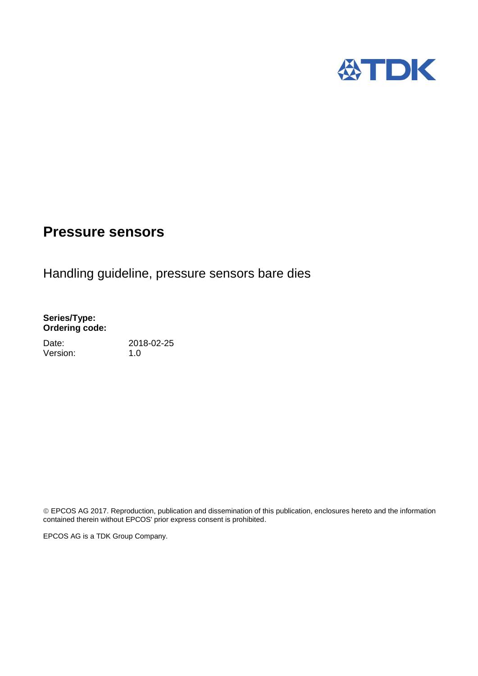

# Handling guideline, pressure sensors bare dies

#### **Series/Type: Ordering code:**

Date: 2018-02-25 Version: 1.0

 EPCOS AG 2017. Reproduction, publication and dissemination of this publication, enclosures hereto and the information contained therein without EPCOS' prior express consent is prohibited.

EPCOS AG is a TDK Group Company.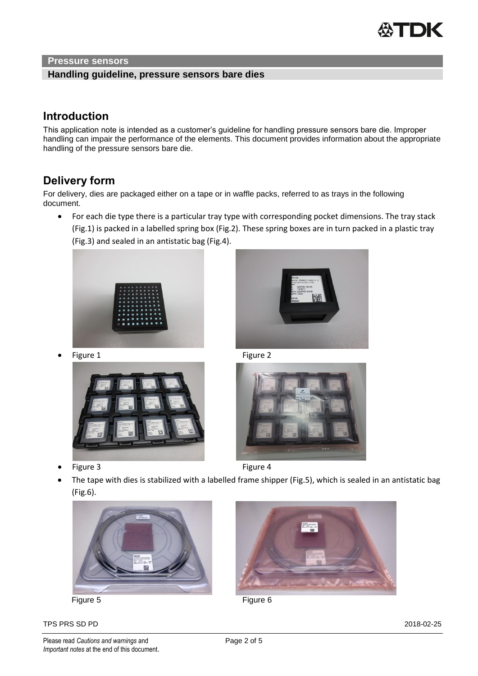

#### **Handling guideline, pressure sensors bare dies**

### **Introduction**

This application note is intended as a customer's guideline for handling pressure sensors bare die. Improper handling can impair the performance of the elements. This document provides information about the appropriate handling of the pressure sensors bare die.

# **Delivery form**

For delivery, dies are packaged either on a tape or in waffle packs, referred to as trays in the following document.

 For each die type there is a particular tray type with corresponding pocket dimensions. The tray stack (Fig.1) is packed in a labelled spring box (Fig.2). These spring boxes are in turn packed in a plastic tray (Fig.3) and sealed in an antistatic bag (Fig.4).





• Figure 1 Figure 2



Figure 3 Figure 4



 The tape with dies is stabilized with a labelled frame shipper (Fig.5), which is sealed in an antistatic bag (Fig.6).



TPS PRS SD PD 2018-02-25

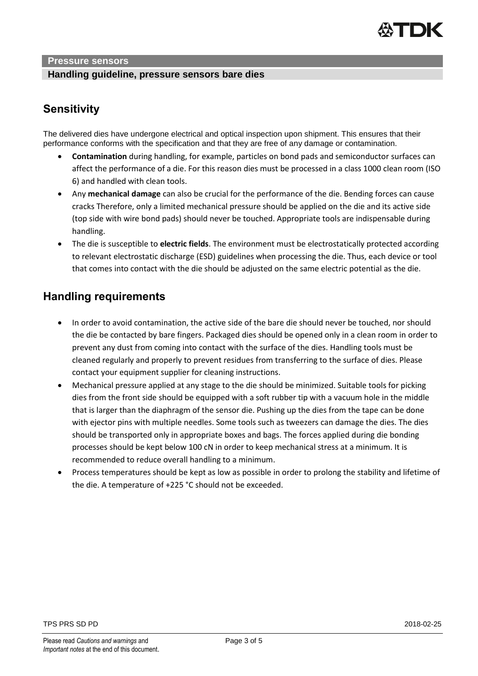

#### **Handling guideline, pressure sensors bare dies**

# **Sensitivity**

The delivered dies have undergone electrical and optical inspection upon shipment. This ensures that their performance conforms with the specification and that they are free of any damage or contamination.

- **Contamination** during handling, for example, particles on bond pads and semiconductor surfaces can affect the performance of a die. For this reason dies must be processed in a class 1000 clean room (ISO 6) and handled with clean tools.
- Any **mechanical damage** can also be crucial for the performance of the die. Bending forces can cause cracks Therefore, only a limited mechanical pressure should be applied on the die and its active side (top side with wire bond pads) should never be touched. Appropriate tools are indispensable during handling.
- The die is susceptible to **electric fields**. The environment must be electrostatically protected according to relevant electrostatic discharge (ESD) guidelines when processing the die. Thus, each device or tool that comes into contact with the die should be adjusted on the same electric potential as the die.

# **Handling requirements**

- In order to avoid contamination, the active side of the bare die should never be touched, nor should the die be contacted by bare fingers. Packaged dies should be opened only in a clean room in order to prevent any dust from coming into contact with the surface of the dies. Handling tools must be cleaned regularly and properly to prevent residues from transferring to the surface of dies. Please contact your equipment supplier for cleaning instructions.
- Mechanical pressure applied at any stage to the die should be minimized. Suitable tools for picking dies from the front side should be equipped with a soft rubber tip with a vacuum hole in the middle that is larger than the diaphragm of the sensor die. Pushing up the dies from the tape can be done with ejector pins with multiple needles. Some tools such as tweezers can damage the dies. The dies should be transported only in appropriate boxes and bags. The forces applied during die bonding processes should be kept below 100 cN in order to keep mechanical stress at a minimum. It is recommended to reduce overall handling to a minimum.
- Process temperatures should be kept as low as possible in order to prolong the stability and lifetime of the die. A temperature of +225 °C should not be exceeded.

TPS PRS SD PD 2018-02-25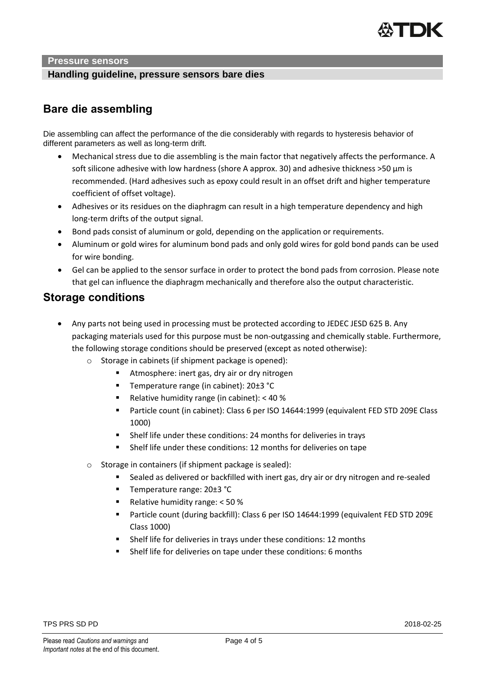

#### **Handling guideline, pressure sensors bare dies**

### **Bare die assembling**

Die assembling can affect the performance of the die considerably with regards to hysteresis behavior of different parameters as well as long-term drift.

- Mechanical stress due to die assembling is the main factor that negatively affects the performance. A soft silicone adhesive with low hardness (shore A approx. 30) and adhesive thickness >50 µm is recommended. (Hard adhesives such as epoxy could result in an offset drift and higher temperature coefficient of offset voltage).
- Adhesives or its residues on the diaphragm can result in a high temperature dependency and high long-term drifts of the output signal.
- Bond pads consist of aluminum or gold, depending on the application or requirements.
- Aluminum or gold wires for aluminum bond pads and only gold wires for gold bond pands can be used for wire bonding.
- Gel can be applied to the sensor surface in order to protect the bond pads from corrosion. Please note that gel can influence the diaphragm mechanically and therefore also the output characteristic.

### **Storage conditions**

- Any parts not being used in processing must be protected according to JEDEC JESD 625 B. Any packaging materials used for this purpose must be non-outgassing and chemically stable. Furthermore, the following storage conditions should be preserved (except as noted otherwise):
	- o Storage in cabinets (if shipment package is opened):
		- Atmosphere: inert gas, dry air or dry nitrogen
		- Temperature range (in cabinet): 20±3 °C
		- Relative humidity range (in cabinet): < 40 %
		- Particle count (in cabinet): Class 6 per ISO 14644:1999 (equivalent FED STD 209E Class 1000)
		- Shelf life under these conditions: 24 months for deliveries in trays
		- Shelf life under these conditions: 12 months for deliveries on tape
	- o Storage in containers (if shipment package is sealed):
		- Sealed as delivered or backfilled with inert gas, dry air or dry nitrogen and re-sealed
		- Temperature range: 20±3 °C
		- Relative humidity range:  $<$  50 %
		- Particle count (during backfill): Class 6 per ISO 14644:1999 (equivalent FED STD 209E Class 1000)
		- Shelf life for deliveries in trays under these conditions: 12 months
		- Shelf life for deliveries on tape under these conditions: 6 months